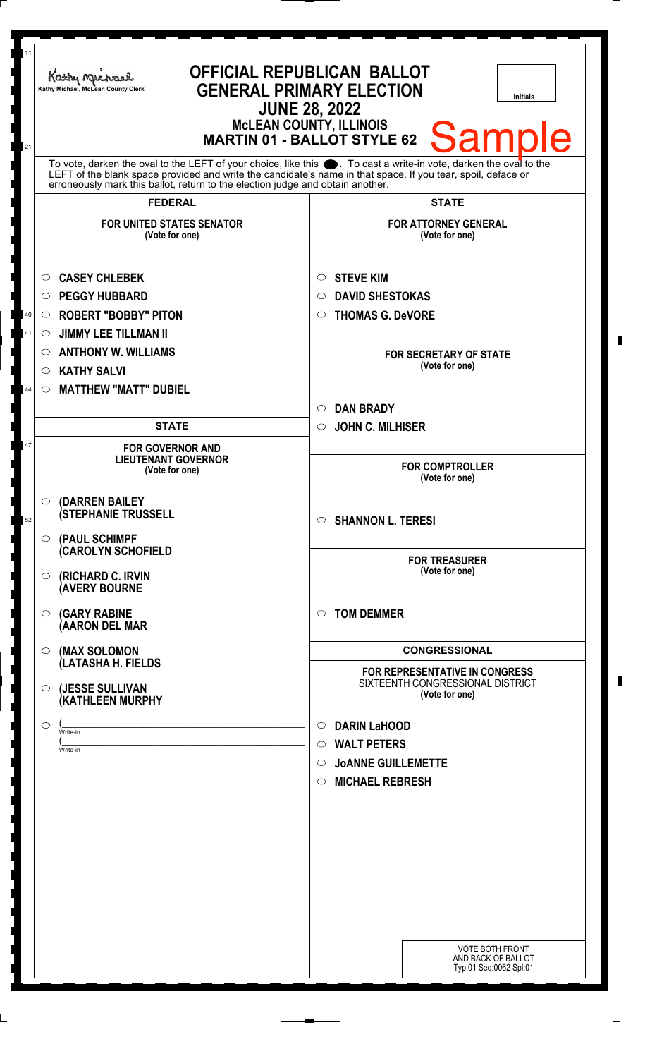| 11<br>21 | <b>OFFICIAL REPUBLICAN BALLOT</b><br>Kathy Michael<br><b>GENERAL PRIMARY ELECTION</b><br>Kathy Michael, McLean County Clerk<br>Initials<br><b>JUNE 28, 2022</b><br><b>McLEAN COUNTY, ILLINOIS</b><br><b>Sample</b><br><b>MARTIN 01 - BALLOT STYLE 62</b>                                                               |                                                                                                                                                               |
|----------|------------------------------------------------------------------------------------------------------------------------------------------------------------------------------------------------------------------------------------------------------------------------------------------------------------------------|---------------------------------------------------------------------------------------------------------------------------------------------------------------|
|          | To vote, darken the oval to the LEFT of your choice, like this $\bullet$ . To cast a write-in vote, darken the oval to the LEFT of the blank space provided and write the candidate's name in that space. If you tear, spoil, deface<br>erroneously mark this ballot, return to the election judge and obtain another. |                                                                                                                                                               |
|          | <b>FEDERAL</b><br><b>FOR UNITED STATES SENATOR</b><br>(Vote for one)                                                                                                                                                                                                                                                   | <b>STATE</b><br><b>FOR ATTORNEY GENERAL</b><br>(Vote for one)                                                                                                 |
| 40<br>41 | <b>CASEY CHLEBEK</b><br>O<br><b>PEGGY HUBBARD</b><br>O<br><b>ROBERT "BOBBY" PITON</b><br>$\circ$<br><b>JIMMY LEE TILLMAN II</b><br>O<br><b>ANTHONY W. WILLIAMS</b><br>O                                                                                                                                                | <b>STEVE KIM</b><br>$\circ$<br><b>DAVID SHESTOKAS</b><br>$\circ$<br><b>THOMAS G. DeVORE</b><br>$\circ$<br><b>FOR SECRETARY OF STATE</b>                       |
| 44       | <b>KATHY SALVI</b><br>O<br><b>MATTHEW "MATT" DUBIEL</b><br>$\circ$                                                                                                                                                                                                                                                     | (Vote for one)<br><b>DAN BRADY</b><br>$\circ$                                                                                                                 |
| 47       | <b>STATE</b><br><b>FOR GOVERNOR AND</b><br><b>LIEUTENANT GOVERNOR</b><br>(Vote for one)                                                                                                                                                                                                                                | <b>JOHN C. MILHISER</b><br>$\circ$<br><b>FOR COMPTROLLER</b><br>(Vote for one)                                                                                |
| 52       | <b>(DARREN BAILEY</b><br>$\circ$<br><b>(STEPHANIE TRUSSELL</b><br>$\circ$ (PAUL SCHIMPF                                                                                                                                                                                                                                | $\circ$ SHANNON L. TERESI                                                                                                                                     |
|          | (CAROLYN SCHOFIELD<br>(RICHARD C. IRVIN<br>O.<br><b>(AVERY BOURNE</b>                                                                                                                                                                                                                                                  | <b>FOR TREASURER</b><br>(Vote for one)                                                                                                                        |
|          | <b>(GARY RABINE</b><br>$\circ$<br>(AARON DEL MAR                                                                                                                                                                                                                                                                       | <b>TOM DEMMER</b><br>$\circ$                                                                                                                                  |
|          | (MAX SOLOMON<br>$\circ$<br>(LATASHA H. FIELDS                                                                                                                                                                                                                                                                          | <b>CONGRESSIONAL</b><br><b>FOR REPRESENTATIVE IN CONGRESS</b>                                                                                                 |
|          | (JESSE SULLIVAN<br>O.<br><b>(KATHLEEN MURPHY</b><br>$\bigcirc$<br>Write-in<br>Write-in                                                                                                                                                                                                                                 | SIXTEENTH CONGRESSIONAL DISTRICT<br>(Vote for one)<br><b>DARIN LaHOOD</b><br>$\circ$<br><b>WALT PETERS</b><br>$\circ$<br><b>JOANNE GUILLEMETTE</b><br>$\circ$ |
|          |                                                                                                                                                                                                                                                                                                                        | <b>MICHAEL REBRESH</b><br>$\circ$                                                                                                                             |
|          |                                                                                                                                                                                                                                                                                                                        |                                                                                                                                                               |
|          |                                                                                                                                                                                                                                                                                                                        |                                                                                                                                                               |
|          |                                                                                                                                                                                                                                                                                                                        | <b>VOTE BOTH FRONT</b><br>AND BACK OF BALLOT<br>Typ:01 Seq:0062 Spl:01                                                                                        |